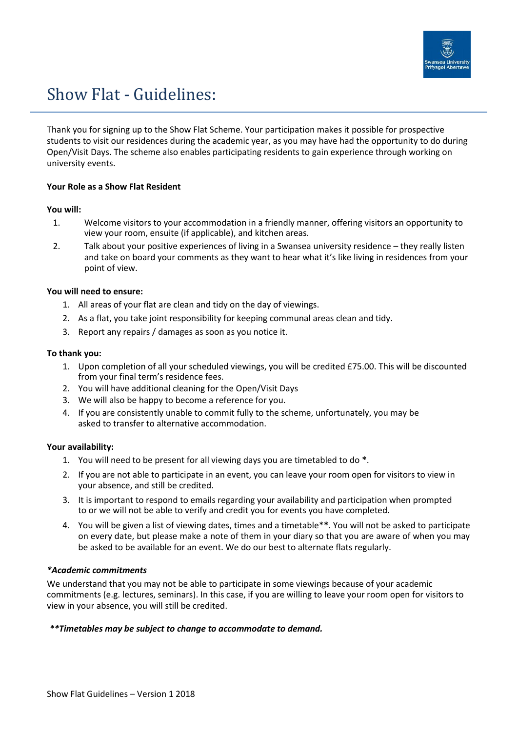

# Show Flat - Guidelines:

Thank you for signing up to the Show Flat Scheme. Your participation makes it possible for prospective students to visit our residences during the academic year, as you may have had the opportunity to do during Open/Visit Days. The scheme also enables participating residents to gain experience through working on university events.

## **Your Role as a Show Flat Resident**

## **You will:**

- 1. Welcome visitors to your accommodation in a friendly manner, offering visitors an opportunity to view your room, ensuite (if applicable), and kitchen areas.
- 2. Talk about your positive experiences of living in a Swansea university residence they really listen and take on board your comments as they want to hear what it's like living in residences from your point of view.

# **You will need to ensure:**

- 1. All areas of your flat are clean and tidy on the day of viewings.
- 2. As a flat, you take joint responsibility for keeping communal areas clean and tidy.
- 3. Report any repairs / damages as soon as you notice it.

## **To thank you:**

- 1. Upon completion of all your scheduled viewings, you will be credited £75.00. This will be discounted from your final term's residence fees.
- 2. You will have additional cleaning for the Open/Visit Days
- 3. We will also be happy to become a reference for you.
- 4. If you are consistently unable to commit fully to the scheme, unfortunately, you may be asked to transfer to alternative accommodation.

## **Your availability:**

- 1. You will need to be present for all viewing days you are timetabled to do **\***.
- 2. If you are not able to participate in an event, you can leave your room open for visitors to view in your absence, and still be credited.
- 3. It is important to respond to emails regarding your availability and participation when prompted to or we will not be able to verify and credit you for events you have completed.
- 4. You will be given a list of viewing dates, times and a timetable\***\***. You will not be asked to participate on every date, but please make a note of them in your diary so that you are aware of when you may be asked to be available for an event. We do our best to alternate flats regularly.

# *\*Academic commitments*

We understand that you may not be able to participate in some viewings because of your academic commitments (e.g. lectures, seminars). In this case, if you are willing to leave your room open for visitors to view in your absence, you will still be credited.

## *\*\*Timetables may be subject to change to accommodate to demand.*